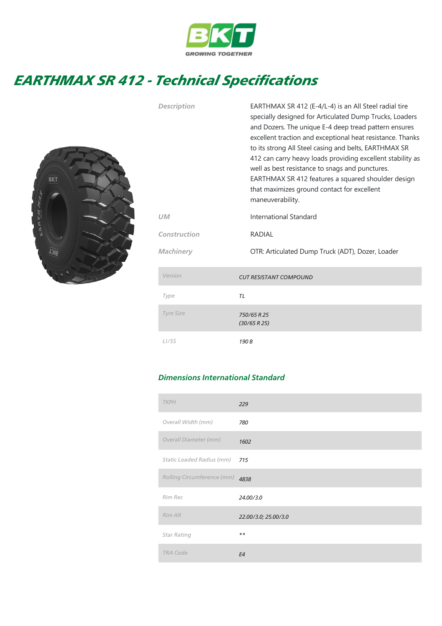

## EARTHMAX SR 412 - Technical Specifications



| <b>Description</b> | EARTHMAX SR 412 (E-4/L-4) is an All Steel radial tire<br>specially designed for Articulated Dump Trucks, Loaders<br>and Dozers. The unique E-4 deep tread pattern ensures<br>excellent traction and exceptional heat resistance. Thanks<br>to its strong All Steel casing and belts, EARTHMAX SR<br>412 can carry heavy loads providing excellent stability as<br>well as best resistance to snags and punctures.<br>EARTHMAX SR 412 features a squared shoulder design<br>that maximizes ground contact for excellent<br>maneuverability. |  |  |  |
|--------------------|--------------------------------------------------------------------------------------------------------------------------------------------------------------------------------------------------------------------------------------------------------------------------------------------------------------------------------------------------------------------------------------------------------------------------------------------------------------------------------------------------------------------------------------------|--|--|--|
| UM                 | International Standard                                                                                                                                                                                                                                                                                                                                                                                                                                                                                                                     |  |  |  |
| Construction       | <b>RADIAL</b>                                                                                                                                                                                                                                                                                                                                                                                                                                                                                                                              |  |  |  |
| Machinery          | OTR: Articulated Dump Truck (ADT), Dozer, Loader                                                                                                                                                                                                                                                                                                                                                                                                                                                                                           |  |  |  |
| Version            | <b>CUT RESISTANT COMPOUND</b>                                                                                                                                                                                                                                                                                                                                                                                                                                                                                                              |  |  |  |
| Type               | TL                                                                                                                                                                                                                                                                                                                                                                                                                                                                                                                                         |  |  |  |
| <b>Tyre Size</b>   | 750/65 R 25<br>(30/65 R 25)                                                                                                                                                                                                                                                                                                                                                                                                                                                                                                                |  |  |  |
| L <sub>1</sub> /SS | 190 B                                                                                                                                                                                                                                                                                                                                                                                                                                                                                                                                      |  |  |  |

## Dimensions International Standard

| <b>TKPH</b>                | 229                  |
|----------------------------|----------------------|
| Overall Width (mm)         | 780                  |
| Overall Diameter (mm)      | 1602                 |
| Static Loaded Radius (mm)  | 715                  |
| Rolling Circumference (mm) | 4838                 |
| Rim Rec                    | 24.00/3.0            |
| Rim Alt                    | 22.00/3.0; 25.00/3.0 |
| <b>Star Rating</b>         | $* *$                |
| <b>TRA Code</b>            | E4                   |